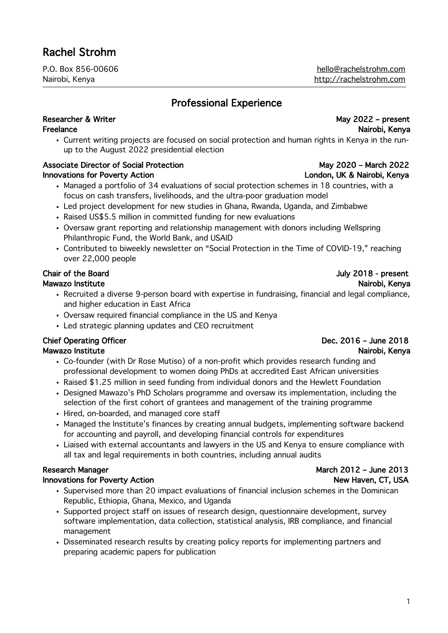P.O. Box 856-00606 hello@rachelstrohm.com Nairobi, Kenya http://rachelstrohm.com

# Professional Experience

### Researcher & Writer May 2022 – present Freelance **National Research Control Control Control Control Control Control Control Control Control Control Control Control Control Control Control Control Control Control Control Control Control Control Control Control C**

. Current writing projects are focused on social protection and human rights in Kenya in the runup to the August 2022 presidential election

### Associate Director of Social Protection May 2020 – May 2020 – March 2022 Innovations for Poverty Action London, UK & Nairobi, Kenya

- ! Managed a portfolio of 34 evaluations of social protection schemes in 18 countries, with a focus on cash transfers, livelihoods, and the ultra-poor graduation model
- ! Led project development for new studies in Ghana, Rwanda, Uganda, and Zimbabwe
- . Raised US\$5.5 million in committed funding for new evaluations
- ! Oversaw grant reporting and relationship management with donors including Wellspring Philanthropic Fund, the World Bank, and USAID
- . Contributed to biweekly newsletter on "Social Protection in the Time of COVID-19," reaching over 22,000 people

- ! Recruited a diverse 9-person board with expertise in fundraising, financial and legal compliance, and higher education in East Africa
- ! Oversaw required financial compliance in the US and Kenya
- . Led strategic planning updates and CEO recruitment

# Mawazo Institute Nairobi, Kenya

- ! Co-founder (with Dr Rose Mutiso) of a non-profit which provides research funding and professional development to women doing PhDs at accredited East African universities
- . Raised \$1.25 million in seed funding from individual donors and the Hewlett Foundation
- ! Designed Mawazo's PhD Scholars programme and oversaw its implementation, including the selection of the first cohort of grantees and management of the training programme
- . Hired, on-boarded, and managed core staff
- ! Managed the Institute's finances by creating annual budgets, implementing software backend for accounting and payroll, and developing financial controls for expenditures
- ! Liaised with external accountants and lawyers in the US and Kenya to ensure compliance with all tax and legal requirements in both countries, including annual audits

## Innovations for Poverty Action New Haven, CT, USA

- ! Supervised more than 20 impact evaluations of financial inclusion schemes in the Dominican Republic, Ethiopia, Ghana, Mexico, and Uganda
- ! Supported project staff on issues of research design, questionnaire development, survey software implementation, data collection, statistical analysis, IRB compliance, and financial management
- ! Disseminated research results by creating policy reports for implementing partners and preparing academic papers for publication

# Research Manager Manager March 2012 – June 2013

## Chair of the Board Chair of the Board Chair of the Board July 2018 - present Mawazo Institute Nairobi, Kenya

# Chief Operating Officer **Dec. 2016** – June 2018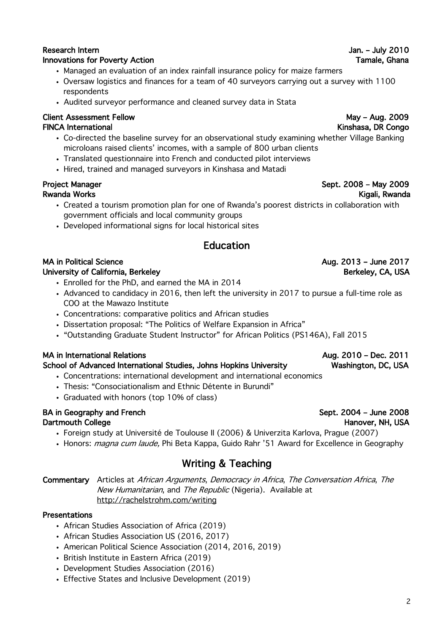# Innovations for Poverty Action **Tamale, Ghana**

- ! Managed an evaluation of an index rainfall insurance policy for maize farmers
- ! Oversaw logistics and finances for a team of 40 surveyors carrying out a survey with 1100 respondents
- . Audited surveyor performance and cleaned survey data in Stata

### Client Assessment Fellow May – Aug. 2009 FINCA International **Kinshasa, DR Congo**

- ! Co-directed the baseline survey for an observational study examining whether Village Banking microloans raised clients' incomes, with a sample of 800 urban clients
- . Translated questionnaire into French and conducted pilot interviews
- ! Hired, trained and managed surveyors in Kinshasa and Matadi

- ! Created a tourism promotion plan for one of Rwanda's poorest districts in collaboration with government officials and local community groups
- ! Developed informational signs for local historical sites

# Education

# MA in Political Science **Aug. 2013** – June 2017

## University of California, Berkeley Berkeley Berkeley, CA, USA

- . Enrolled for the PhD, and earned the MA in 2014
- . Advanced to candidacy in 2016, then left the university in 2017 to pursue a full-time role as COO at the Mawazo Institute
- . Concentrations: comparative politics and African studies
- ! Dissertation proposal: "The Politics of Welfare Expansion in Africa"
- ! "Outstanding Graduate Student Instructor" for African Politics (PS146A), Fall 2015

# MA in International Relations Aug. 2010 – Dec. 2011

### School of Advanced International Studies, Johns Hopkins University Washington, DC, USA

- ! Concentrations: international development and international economics
- ! Thesis: "Consociationalism and Ethnic Détente in Burundi"
- Graduated with honors (top 10% of class)

### BA in Geography and French Sept. 2004 – June 2008 Dartmouth College **Hanover, NH, USA**

- ! Foreign study at Université de Toulouse II (2006) & Univerzita Karlova, Prague (2007)
- . Honors: *magna cum laude*, Phi Beta Kappa, Guido Rahr '51 Award for Excellence in Geography

# Writing & Teaching

Commentary Articles at African Arguments, Democracy in Africa, The Conversation Africa, The New Humanitarian, and The Republic (Nigeria). Available at http://rachelstrohm.com/writing

### Presentations

- African Studies Association of Africa (2019)
- African Studies Association US (2016, 2017)
- ! American Political Science Association (2014, 2016, 2019)
- British Institute in Eastern Africa (2019)
- . Development Studies Association (2016)
- . Effective States and Inclusive Development (2019)

Project Manager **Sept. 2008 – May 2009** 

Rwanda Works **Kigali, Rwanda Works** Kigali, Rwanda Kigali, Rwanda Kigali, Rwanda Kigali, Rwanda